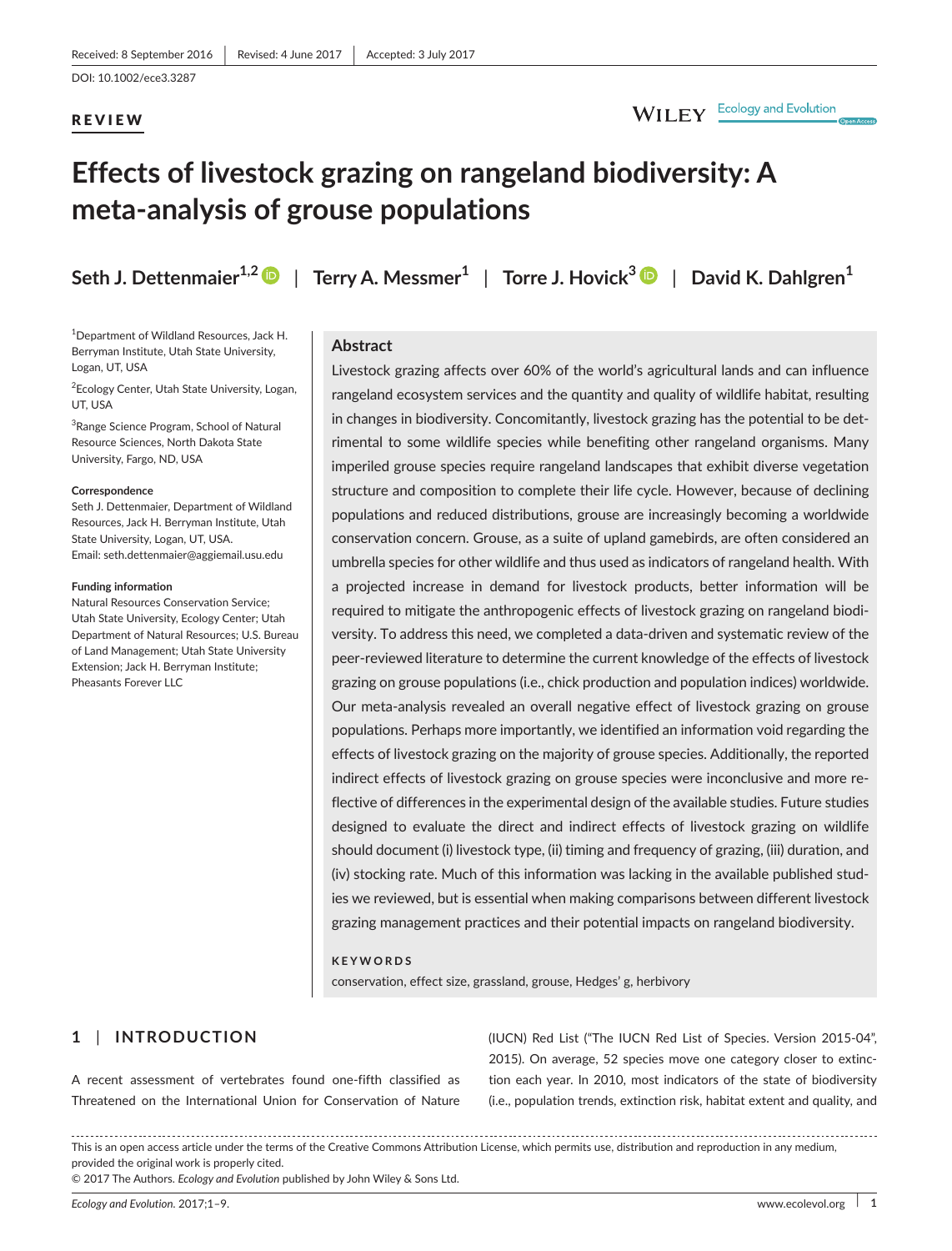## REVIEW

## WILEY Ecology and Evolution

# **Effects of livestock grazing on rangeland biodiversity: A meta-analysis of grouse populations**

1 Department of Wildland Resources, Jack H. Berryman Institute, Utah State University, Logan, UT, USA

2 Ecology Center, Utah State University, Logan, UT, USA

<sup>3</sup>Range Science Program, School of Natural Resource Sciences, North Dakota State University, Fargo, ND, USA

#### **Correspondence**

Seth J. Dettenmaier, Department of Wildland Resources, Jack H. Berryman Institute, Utah State University, Logan, UT, USA. Email: [seth.dettenmaier@aggiemail.usu.edu](mailto:seth.dettenmaier@aggiemail.usu.edu)

#### **Funding information**

Natural Resources Conservation Service; Utah State University, Ecology Center; Utah Department of Natural Resources; U.S. Bureau of Land Management; Utah State University Extension; Jack H. Berryman Institute; Pheasants Forever LLC

**Seth J. Dettenmaier1,2** | **Terry A. Messmer<sup>1</sup>** | **Torre J. Hovick[3](http://orcid.org/0000-0001-9192-8805)** | **David K. Dahlgren<sup>1</sup>**

## **Abstract**

Livestock grazing affects over 60% of the world's agricultural lands and can influence rangeland ecosystem services and the quantity and quality of wildlife habitat, resulting in changes in biodiversity. Concomitantly, livestock grazing has the potential to be detrimental to some wildlife species while benefiting other rangeland organisms. Many imperiled grouse species require rangeland landscapes that exhibit diverse vegetation structure and composition to complete their life cycle. However, because of declining populations and reduced distributions, grouse are increasingly becoming a worldwide conservation concern. Grouse, as a suite of upland gamebirds, are often considered an umbrella species for other wildlife and thus used as indicators of rangeland health. With a projected increase in demand for livestock products, better information will be required to mitigate the anthropogenic effects of livestock grazing on rangeland biodiversity. To address this need, we completed a data-driven and systematic review of the peer-reviewed literature to determine the current knowledge of the effects of livestock grazing on grouse populations (i.e., chick production and population indices) worldwide. Our meta-analysis revealed an overall negative effect of livestock grazing on grouse populations. Perhaps more importantly, we identified an information void regarding the effects of livestock grazing on the majority of grouse species. Additionally, the reported indirect effects of livestock grazing on grouse species were inconclusive and more reflective of differences in the experimental design of the available studies. Future studies designed to evaluate the direct and indirect effects of livestock grazing on wildlife should document (i) livestock type, (ii) timing and frequency of grazing, (iii) duration, and (iv) stocking rate. Much of this information was lacking in the available published studies we reviewed, but is essential when making comparisons between different livestock grazing management practices and their potential impacts on rangeland biodiversity.

#### **KEYWORDS**

conservation, effect size, grassland, grouse, Hedges' g, herbivory

## **1** | **INTRODUCTION**

A recent assessment of vertebrates found one-fifth classified as Threatened on the International Union for Conservation of Nature

(IUCN) Red List ("The IUCN Red List of Species. Version 2015-04", 2015). On average, 52 species move one category closer to extinction each year. In 2010, most indicators of the state of biodiversity (i.e., population trends, extinction risk, habitat extent and quality, and

This is an open access article under the terms of the Creative Commons [Attribution](http://creativecommons.org/licenses/by/4.0/) License, which permits use, distribution and reproduction in any medium, provided the original work is properly cited.

© 2017 The Authors. *Ecology and Evolution* published by John Wiley & Sons Ltd.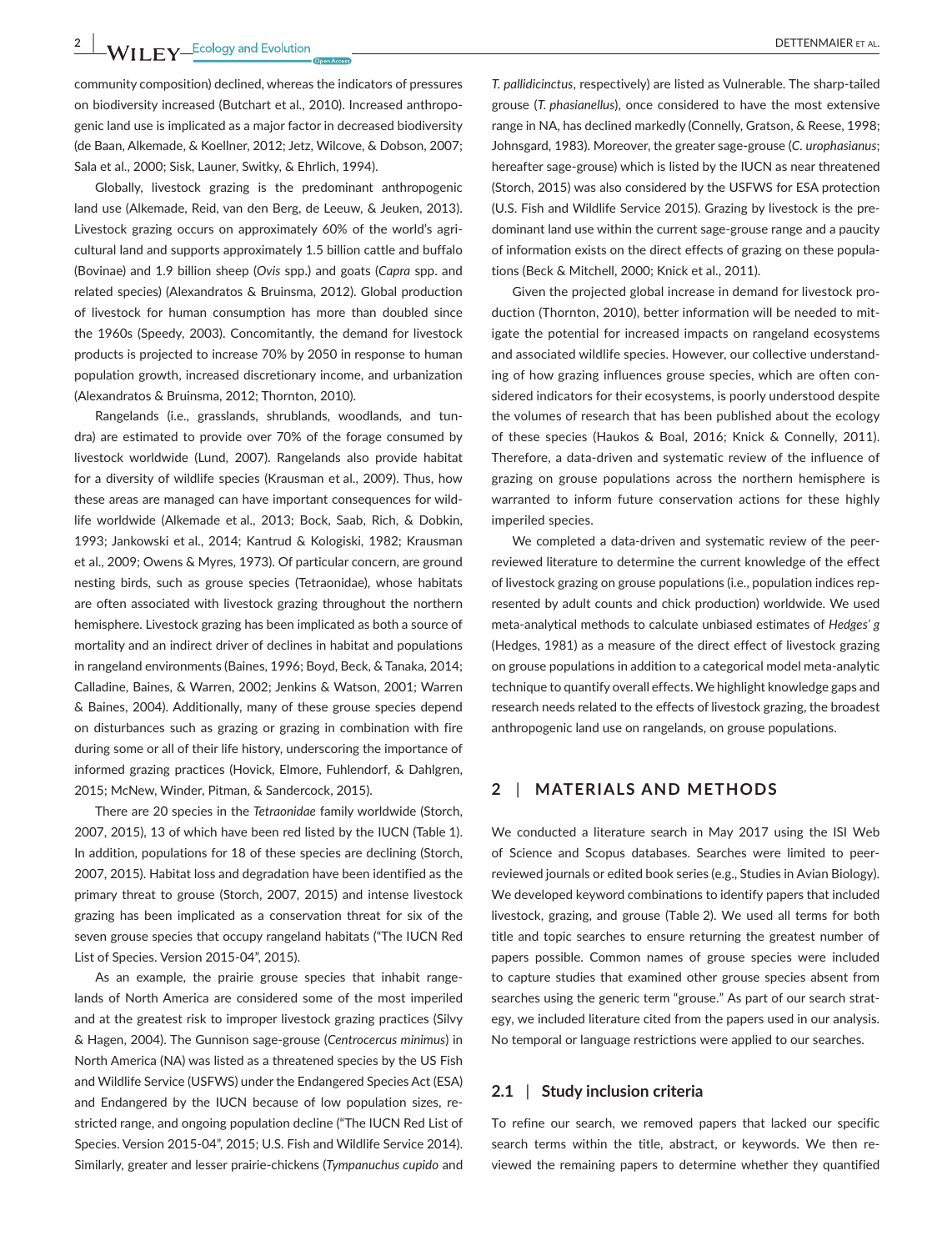community composition) declined, whereas the indicators of pressures on biodiversity increased (Butchart et al., 2010). Increased anthropogenic land use is implicated as a major factor in decreased biodiversity (de Baan, Alkemade, & Koellner, 2012; Jetz, Wilcove, & Dobson, 2007; Sala et al., 2000; Sisk, Launer, Switky, & Ehrlich, 1994).

Globally, livestock grazing is the predominant anthropogenic land use (Alkemade, Reid, van den Berg, de Leeuw, & Jeuken, 2013). Livestock grazing occurs on approximately 60% of the world's agricultural land and supports approximately 1.5 billion cattle and buffalo (Bovinae) and 1.9 billion sheep (*Ovis* spp.) and goats (*Capra* spp. and related species) (Alexandratos & Bruinsma, 2012). Global production of livestock for human consumption has more than doubled since the 1960s (Speedy, 2003). Concomitantly, the demand for livestock products is projected to increase 70% by 2050 in response to human population growth, increased discretionary income, and urbanization (Alexandratos & Bruinsma, 2012; Thornton, 2010).

Rangelands (i.e., grasslands, shrublands, woodlands, and tundra) are estimated to provide over 70% of the forage consumed by livestock worldwide (Lund, 2007). Rangelands also provide habitat for a diversity of wildlife species (Krausman et al., 2009). Thus, how these areas are managed can have important consequences for wildlife worldwide (Alkemade et al., 2013; Bock, Saab, Rich, & Dobkin, 1993; Jankowski et al., 2014; Kantrud & Kologiski, 1982; Krausman et al., 2009; Owens & Myres, 1973). Of particular concern, are ground nesting birds, such as grouse species (Tetraonidae), whose habitats are often associated with livestock grazing throughout the northern hemisphere. Livestock grazing has been implicated as both a source of mortality and an indirect driver of declines in habitat and populations in rangeland environments (Baines, 1996; Boyd, Beck, & Tanaka, 2014; Calladine, Baines, & Warren, 2002; Jenkins & Watson, 2001; Warren & Baines, 2004). Additionally, many of these grouse species depend on disturbances such as grazing or grazing in combination with fire during some or all of their life history, underscoring the importance of informed grazing practices (Hovick, Elmore, Fuhlendorf, & Dahlgren, 2015; McNew, Winder, Pitman, & Sandercock, 2015).

There are 20 species in the *Tetraonidae* family worldwide (Storch, 2007, 2015), 13 of which have been red listed by the IUCN (Table 1). In addition, populations for 18 of these species are declining (Storch, 2007, 2015). Habitat loss and degradation have been identified as the primary threat to grouse (Storch, 2007, 2015) and intense livestock grazing has been implicated as a conservation threat for six of the seven grouse species that occupy rangeland habitats ("The IUCN Red List of Species. Version 2015-04", 2015).

As an example, the prairie grouse species that inhabit rangelands of North America are considered some of the most imperiled and at the greatest risk to improper livestock grazing practices (Silvy & Hagen, 2004). The Gunnison sage-grouse (*Centrocercus minimus*) in North America (NA) was listed as a threatened species by the US Fish and Wildlife Service (USFWS) under the Endangered Species Act (ESA) and Endangered by the IUCN because of low population sizes, restricted range, and ongoing population decline ("The IUCN Red List of Species. Version 2015-04", 2015; U.S. Fish and Wildlife Service 2014). Similarly, greater and lesser prairie-chickens (*Tympanuchus cupido* and

*T. pallidicinctus*, respectively) are listed as Vulnerable. The sharp-tailed grouse (*T. phasianellus*), once considered to have the most extensive range in NA, has declined markedly (Connelly, Gratson, & Reese, 1998; Johnsgard, 1983). Moreover, the greater sage-grouse (*C. urophasianus*; hereafter sage-grouse) which is listed by the IUCN as near threatened (Storch, 2015) was also considered by the USFWS for ESA protection (U.S. Fish and Wildlife Service 2015). Grazing by livestock is the predominant land use within the current sage-grouse range and a paucity of information exists on the direct effects of grazing on these populations (Beck & Mitchell, 2000; Knick et al., 2011).

Given the projected global increase in demand for livestock production (Thornton, 2010), better information will be needed to mitigate the potential for increased impacts on rangeland ecosystems and associated wildlife species. However, our collective understanding of how grazing influences grouse species, which are often considered indicators for their ecosystems, is poorly understood despite the volumes of research that has been published about the ecology of these species (Haukos & Boal, 2016; Knick & Connelly, 2011). Therefore, a data-driven and systematic review of the influence of grazing on grouse populations across the northern hemisphere is warranted to inform future conservation actions for these highly imperiled species.

We completed a data-driven and systematic review of the peerreviewed literature to determine the current knowledge of the effect of livestock grazing on grouse populations (i.e., population indices represented by adult counts and chick production) worldwide. We used meta-analytical methods to calculate unbiased estimates of *Hedges' g* (Hedges, 1981) as a measure of the direct effect of livestock grazing on grouse populations in addition to a categorical model meta-analytic technique to quantify overall effects.We highlight knowledge gaps and research needs related to the effects of livestock grazing, the broadest anthropogenic land use on rangelands, on grouse populations.

## **2** | **MATERIALS AND METHODS**

We conducted a literature search in May 2017 using the ISI Web of Science and Scopus databases. Searches were limited to peerreviewed journals or edited book series (e.g., Studies in Avian Biology). We developed keyword combinations to identify papers that included livestock, grazing, and grouse (Table 2). We used all terms for both title and topic searches to ensure returning the greatest number of papers possible. Common names of grouse species were included to capture studies that examined other grouse species absent from searches using the generic term "grouse." As part of our search strategy, we included literature cited from the papers used in our analysis. No temporal or language restrictions were applied to our searches.

### **2.1** | **Study inclusion criteria**

To refine our search, we removed papers that lacked our specific search terms within the title, abstract, or keywords. We then reviewed the remaining papers to determine whether they quantified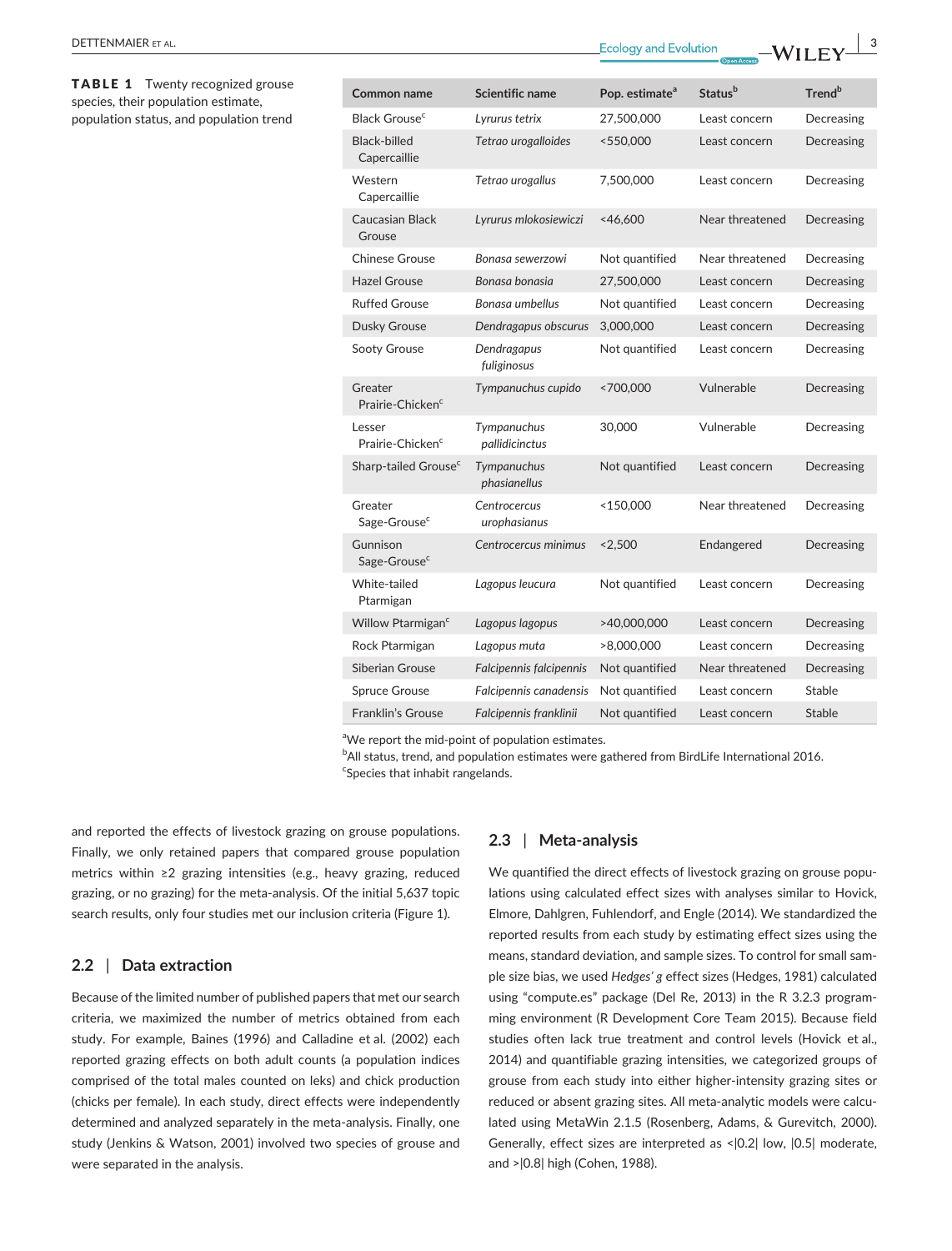TABLE 1 Twenty recognized grouse species, their population estimate, population status, and population trend

| Common name                             | <b>Scientific name</b>        | Pop. estimate <sup>a</sup> | Status <sup>b</sup> | <b>Trend</b> <sup>b</sup> |
|-----------------------------------------|-------------------------------|----------------------------|---------------------|---------------------------|
| Black Grouse <sup>c</sup>               | Lyrurus tetrix                | 27,500,000                 | Least concern       | Decreasing                |
| Black-billed<br>Capercaillie            | Tetrao urogalloides           | < 550,000                  | Least concern       | Decreasing                |
| Western<br>Capercaillie                 | Tetrao urogallus              | 7,500,000                  | Least concern       | Decreasing                |
| Caucasian Black<br>Grouse               | Lyrurus mlokosiewiczi         | <46,600                    | Near threatened     | Decreasing                |
| <b>Chinese Grouse</b>                   | Bonasa sewerzowi              | Not quantified             | Near threatened     | Decreasing                |
| <b>Hazel Grouse</b>                     | Bonasa bonasia                | 27,500,000                 | Least concern       | Decreasing                |
| <b>Ruffed Grouse</b>                    | Bonasa umbellus               | Not quantified             | Least concern       | Decreasing                |
| <b>Dusky Grouse</b>                     | Dendragapus obscurus          | 3,000,000                  | Least concern       | Decreasing                |
| Sooty Grouse                            | Dendragapus<br>fuliginosus    | Not quantified             | Least concern       | Decreasing                |
| Greater<br>Prairie-Chicken <sup>c</sup> | Tympanuchus cupido            | < 700,000                  | Vulnerable          | Decreasing                |
| Lesser<br>Prairie-Chicken <sup>c</sup>  | Tympanuchus<br>pallidicinctus | 30,000                     | Vulnerable          | Decreasing                |
| Sharp-tailed Grouse <sup>c</sup>        | Tympanuchus<br>phasianellus   | Not quantified             | Least concern       | Decreasing                |
| Greater<br>Sage-Grouse <sup>c</sup>     | Centrocercus<br>urophasianus  | $<$ 150,000                | Near threatened     | Decreasing                |
| Gunnison<br>Sage-Grouse <sup>c</sup>    | Centrocercus minimus          | 2,500                      | Endangered          | Decreasing                |
| White-tailed<br>Ptarmigan               | Lagopus leucura               | Not quantified             | Least concern       | Decreasing                |
| Willow Ptarmigan <sup>c</sup>           | Lagopus lagopus               | >40,000,000                | Least concern       | Decreasing                |
| Rock Ptarmigan                          | Lagopus muta                  | -8,000,000                 | Least concern       | Decreasing                |
| Siberian Grouse                         | Falcipennis falcipennis       | Not quantified             | Near threatened     | Decreasing                |
| <b>Spruce Grouse</b>                    | Falcipennis canadensis        | Not quantified             | Least concern       | Stable                    |
| <b>Franklin's Grouse</b>                | Falcipennis franklinii        | Not quantified             | Least concern       | <b>Stable</b>             |

<sup>a</sup>We report the mid-point of population estimates.

 $^{\rm b}$ All status, trend, and population estimates were gathered from BirdLife International 2016.

c Species that inhabit rangelands.

and reported the effects of livestock grazing on grouse populations. Finally, we only retained papers that compared grouse population metrics within ≥2 grazing intensities (e.g., heavy grazing, reduced grazing, or no grazing) for the meta-analysis. Of the initial 5,637 topic search results, only four studies met our inclusion criteria (Figure 1).

## **2.2** | **Data extraction**

Because of the limited number of published papers that met our search criteria, we maximized the number of metrics obtained from each study. For example, Baines (1996) and Calladine et al. (2002) each reported grazing effects on both adult counts (a population indices comprised of the total males counted on leks) and chick production (chicks per female). In each study, direct effects were independently determined and analyzed separately in the meta-analysis. Finally, one study (Jenkins & Watson, 2001) involved two species of grouse and were separated in the analysis.

## **2.3** | **Meta-analysis**

We quantified the direct effects of livestock grazing on grouse populations using calculated effect sizes with analyses similar to Hovick, Elmore, Dahlgren, Fuhlendorf, and Engle (2014). We standardized the reported results from each study by estimating effect sizes using the means, standard deviation, and sample sizes. To control for small sample size bias, we used *Hedges' g* effect sizes (Hedges, 1981) calculated using "compute.es" package (Del Re, 2013) in the R 3.2.3 programming environment (R Development Core Team 2015). Because field studies often lack true treatment and control levels (Hovick et al., 2014) and quantifiable grazing intensities, we categorized groups of grouse from each study into either higher-intensity grazing sites or reduced or absent grazing sites. All meta-analytic models were calculated using MetaWin 2.1.5 (Rosenberg, Adams, & Gurevitch, 2000). Generally, effect sizes are interpreted as <|0.2| low, |0.5| moderate, and >|0.8| high (Cohen, 1988).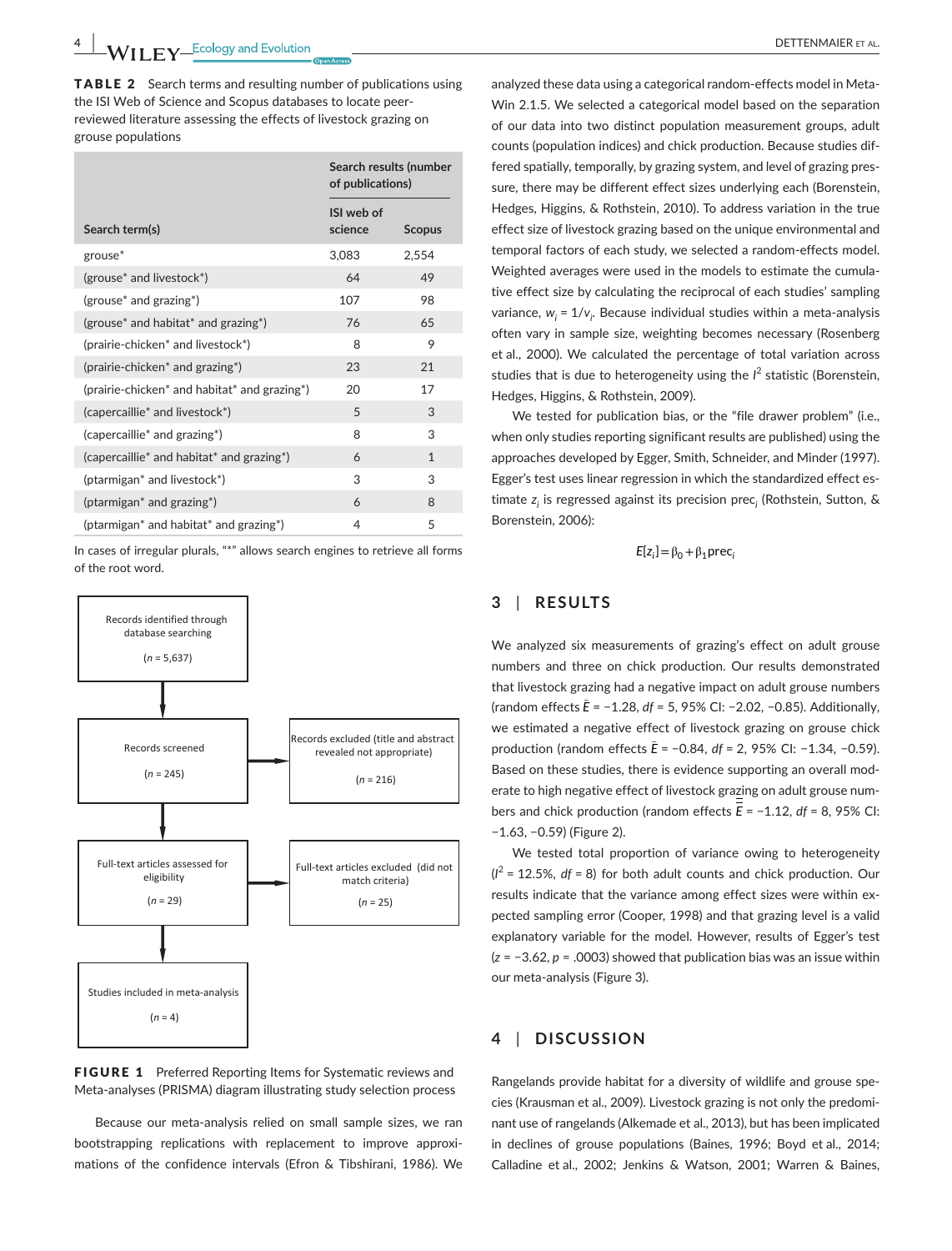TABLE 2 Search terms and resulting number of publications using the ISI Web of Science and Scopus databases to locate peerreviewed literature assessing the effects of livestock grazing on grouse populations

|                                                                                | Search results (number<br>of publications) |               |
|--------------------------------------------------------------------------------|--------------------------------------------|---------------|
| Search term(s)                                                                 | ISI web of<br>science                      | <b>Scopus</b> |
| grouse*                                                                        | 3,083                                      | 2,554         |
| (grouse <sup>*</sup> and livestock <sup>*</sup> )                              | 64                                         | 49            |
| (grouse* and grazing*)                                                         | 107                                        | 98            |
| (grouse* and habitat* and grazing*)                                            | 76                                         | 65            |
| (prairie-chicken* and livestock*)                                              | 8                                          | 9             |
| (prairie-chicken <sup>*</sup> and grazing <sup>*</sup> )                       | 23                                         | 21            |
| (prairie-chicken* and habitat* and grazing*)                                   | 20                                         | 17            |
| (capercaillie <sup>*</sup> and livestock <sup>*</sup> )                        | 5                                          | 3             |
| (capercaillie* and grazing*)                                                   | $\mathsf{R}$                               | 3             |
| (capercaillie <sup>*</sup> and habitat <sup>*</sup> and grazing <sup>*</sup> ) | 6                                          | $\mathbf{1}$  |
| (ptarmigan <sup>*</sup> and livestock <sup>*</sup> )                           | 3                                          | 3             |
| (ptarmigan <sup>*</sup> and grazing <sup>*</sup> )                             | 6                                          | 8             |
| (ptarmigan <sup>*</sup> and habitat <sup>*</sup> and grazing <sup>*</sup> )    | 4                                          | 5             |

In cases of irregular plurals, "\*" allows search engines to retrieve all forms of the root word.





Because our meta-analysis relied on small sample sizes, we ran bootstrapping replications with replacement to improve approximations of the confidence intervals (Efron & Tibshirani, 1986). We analyzed these data using a categorical random-effects model in Meta-Win 2.1.5. We selected a categorical model based on the separation of our data into two distinct population measurement groups, adult counts (population indices) and chick production. Because studies differed spatially, temporally, by grazing system, and level of grazing pressure, there may be different effect sizes underlying each (Borenstein, Hedges, Higgins, & Rothstein, 2010). To address variation in the true effect size of livestock grazing based on the unique environmental and temporal factors of each study, we selected a random-effects model. Weighted averages were used in the models to estimate the cumulative effect size by calculating the reciprocal of each studies' sampling variance, w<sub>i</sub> = 1/v<sub>i</sub>. Because individual studies within a meta-analysis often vary in sample size, weighting becomes necessary (Rosenberg et al., 2000). We calculated the percentage of total variation across studies that is due to heterogeneity using the *I* <sup>2</sup> statistic (Borenstein, Hedges, Higgins, & Rothstein, 2009).

We tested for publication bias, or the "file drawer problem" (i.e., when only studies reporting significant results are published) using the approaches developed by Egger, Smith, Schneider, and Minder (1997). Egger's test uses linear regression in which the standardized effect estimate *zi* is regressed against its precision prec*<sup>i</sup>* (Rothstein, Sutton, & Borenstein, 2006):

 $E[z_i] = \beta_0 + \beta_1$ prec<sub>i</sub>

## **3** | **RESULTS**

We analyzed six measurements of grazing's effect on adult grouse numbers and three on chick production. Our results demonstrated that livestock grazing had a negative impact on adult grouse numbers (random effects *̄ E* = −1.28, *df* = 5, 95% CI: −2.02, −0.85). Additionally, we estimated a negative effect of livestock grazing on grouse chick production (random effects *̄ E* = −0.84, *df* = 2, 95% CI: −1.34, −0.59). Based on these studies, there is evidence supporting an overall moderate to high negative effect of livestock grazing on adult grouse numbers and chick production (random effects *E* = −1.12, *df* = 8, 95% CI: −1.63, −0.59) (Figure 2).

We tested total proportion of variance owing to heterogeneity  $(I<sup>2</sup> = 12.5\%$ , *df* = 8) for both adult counts and chick production. Our results indicate that the variance among effect sizes were within expected sampling error (Cooper, 1998) and that grazing level is a valid explanatory variable for the model. However, results of Egger's test (*z* = −3.62, *p* = .0003) showed that publication bias was an issue within our meta-analysis (Figure 3).

## **4** | **DISCUSSION**

Rangelands provide habitat for a diversity of wildlife and grouse species (Krausman et al., 2009). Livestock grazing is not only the predominant use of rangelands (Alkemade et al., 2013), but has been implicated in declines of grouse populations (Baines, 1996; Boyd et al., 2014; Calladine et al., 2002; Jenkins & Watson, 2001; Warren & Baines,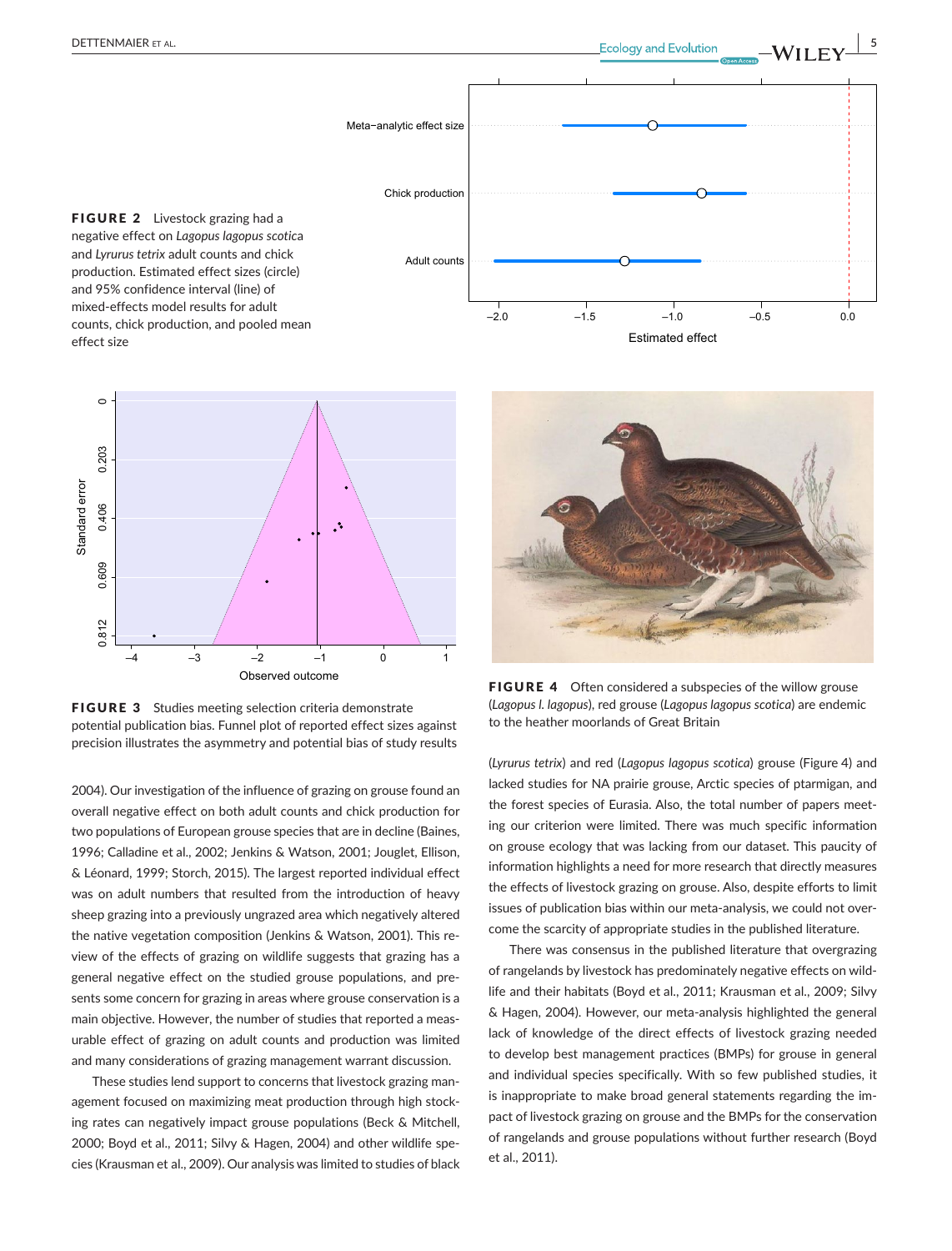



Adult counts

Chick production

Meta−analytic effect size

FIGURE 3 Studies meeting selection criteria demonstrate potential publication bias. Funnel plot of reported effect sizes against precision illustrates the asymmetry and potential bias of study results

2004). Our investigation of the influence of grazing on grouse found an overall negative effect on both adult counts and chick production for two populations of European grouse species that are in decline (Baines, 1996; Calladine et al., 2002; Jenkins & Watson, 2001; Jouglet, Ellison, & Léonard, 1999; Storch, 2015). The largest reported individual effect was on adult numbers that resulted from the introduction of heavy sheep grazing into a previously ungrazed area which negatively altered the native vegetation composition (Jenkins & Watson, 2001). This review of the effects of grazing on wildlife suggests that grazing has a general negative effect on the studied grouse populations, and presents some concern for grazing in areas where grouse conservation is a main objective. However, the number of studies that reported a measurable effect of grazing on adult counts and production was limited and many considerations of grazing management warrant discussion.

These studies lend support to concerns that livestock grazing management focused on maximizing meat production through high stocking rates can negatively impact grouse populations (Beck & Mitchell, 2000; Boyd et al., 2011; Silvy & Hagen, 2004) and other wildlife species (Krausman et al., 2009). Our analysis was limited to studies of black



–2.0 –1.5 –1.0 –0.5 0.0

FIGURE 4 Often considered a subspecies of the willow grouse (*Lagopus l. lagopus*), red grouse (*Lagopus lagopus scotica*) are endemic to the heather moorlands of Great Britain

(*Lyrurus tetrix*) and red (*Lagopus lagopus scotica*) grouse (Figure 4) and lacked studies for NA prairie grouse, Arctic species of ptarmigan, and the forest species of Eurasia. Also, the total number of papers meeting our criterion were limited. There was much specific information on grouse ecology that was lacking from our dataset. This paucity of information highlights a need for more research that directly measures the effects of livestock grazing on grouse. Also, despite efforts to limit issues of publication bias within our meta-analysis, we could not overcome the scarcity of appropriate studies in the published literature.

There was consensus in the published literature that overgrazing of rangelands by livestock has predominately negative effects on wildlife and their habitats (Boyd et al., 2011; Krausman et al., 2009; Silvy & Hagen, 2004). However, our meta-analysis highlighted the general lack of knowledge of the direct effects of livestock grazing needed to develop best management practices (BMPs) for grouse in general and individual species specifically. With so few published studies, it is inappropriate to make broad general statements regarding the impact of livestock grazing on grouse and the BMPs for the conservation of rangelands and grouse populations without further research (Boyd et al., 2011).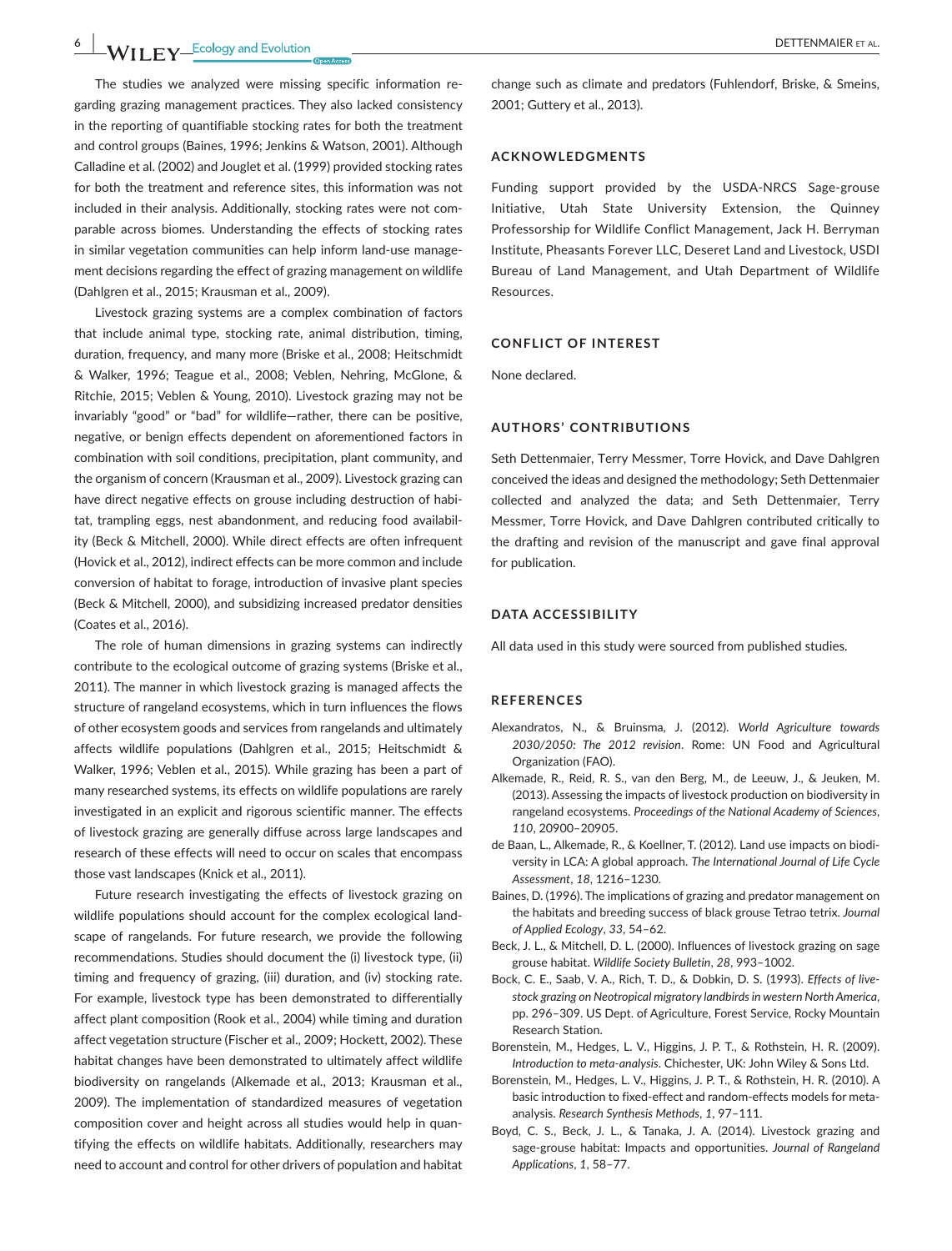The studies we analyzed were missing specific information regarding grazing management practices. They also lacked consistency in the reporting of quantifiable stocking rates for both the treatment and control groups (Baines, 1996; Jenkins & Watson, 2001). Although Calladine et al. (2002) and Jouglet et al. (1999) provided stocking rates for both the treatment and reference sites, this information was not included in their analysis. Additionally, stocking rates were not comparable across biomes. Understanding the effects of stocking rates in similar vegetation communities can help inform land-use management decisions regarding the effect of grazing management on wildlife (Dahlgren et al., 2015; Krausman et al., 2009).

Livestock grazing systems are a complex combination of factors that include animal type, stocking rate, animal distribution, timing, duration, frequency, and many more (Briske et al., 2008; Heitschmidt & Walker, 1996; Teague et al., 2008; Veblen, Nehring, McGlone, & Ritchie, 2015; Veblen & Young, 2010). Livestock grazing may not be invariably "good" or "bad" for wildlife—rather, there can be positive, negative, or benign effects dependent on aforementioned factors in combination with soil conditions, precipitation, plant community, and the organism of concern (Krausman et al., 2009). Livestock grazing can have direct negative effects on grouse including destruction of habitat, trampling eggs, nest abandonment, and reducing food availability (Beck & Mitchell, 2000). While direct effects are often infrequent (Hovick et al., 2012), indirect effects can be more common and include conversion of habitat to forage, introduction of invasive plant species (Beck & Mitchell, 2000), and subsidizing increased predator densities (Coates et al., 2016).

The role of human dimensions in grazing systems can indirectly contribute to the ecological outcome of grazing systems (Briske et al., 2011). The manner in which livestock grazing is managed affects the structure of rangeland ecosystems, which in turn influences the flows of other ecosystem goods and services from rangelands and ultimately affects wildlife populations (Dahlgren et al., 2015; Heitschmidt & Walker, 1996; Veblen et al., 2015). While grazing has been a part of many researched systems, its effects on wildlife populations are rarely investigated in an explicit and rigorous scientific manner. The effects of livestock grazing are generally diffuse across large landscapes and research of these effects will need to occur on scales that encompass those vast landscapes (Knick et al., 2011).

Future research investigating the effects of livestock grazing on wildlife populations should account for the complex ecological landscape of rangelands. For future research, we provide the following recommendations. Studies should document the (i) livestock type, (ii) timing and frequency of grazing, (iii) duration, and (iv) stocking rate. For example, livestock type has been demonstrated to differentially affect plant composition (Rook et al., 2004) while timing and duration affect vegetation structure (Fischer et al., 2009; Hockett, 2002). These habitat changes have been demonstrated to ultimately affect wildlife biodiversity on rangelands (Alkemade et al., 2013; Krausman et al., 2009). The implementation of standardized measures of vegetation composition cover and height across all studies would help in quantifying the effects on wildlife habitats. Additionally, researchers may need to account and control for other drivers of population and habitat

change such as climate and predators (Fuhlendorf, Briske, & Smeins, 2001; Guttery et al., 2013).

#### **ACKNOWLEDGMENTS**

Funding support provided by the USDA-NRCS Sage-grouse Initiative, Utah State University Extension, the Quinney Professorship for Wildlife Conflict Management, Jack H. Berryman Institute, Pheasants Forever LLC, Deseret Land and Livestock, USDI Bureau of Land Management, and Utah Department of Wildlife Resources.

#### **CONFLICT OF INTEREST**

None declared.

#### **AUTHORS' CONTRIBUTIONS**

Seth Dettenmaier, Terry Messmer, Torre Hovick, and Dave Dahlgren conceived the ideas and designed the methodology; Seth Dettenmaier collected and analyzed the data; and Seth Dettenmaier, Terry Messmer, Torre Hovick, and Dave Dahlgren contributed critically to the drafting and revision of the manuscript and gave final approval for publication.

#### **DATA ACCESSIBILITY**

All data used in this study were sourced from published studies.

#### **REFERENCES**

- Alexandratos, N., & Bruinsma, J. (2012). *World Agriculture towards 2030/2050: The 2012 revision*. Rome: UN Food and Agricultural Organization (FAO).
- Alkemade, R., Reid, R. S., van den Berg, M., de Leeuw, J., & Jeuken, M. (2013). Assessing the impacts of livestock production on biodiversity in rangeland ecosystems. *Proceedings of the National Academy of Sciences*, *110*, 20900–20905.
- de Baan, L., Alkemade, R., & Koellner, T. (2012). Land use impacts on biodiversity in LCA: A global approach. *The International Journal of Life Cycle Assessment*, *18*, 1216–1230.
- Baines, D. (1996). The implications of grazing and predator management on the habitats and breeding success of black grouse Tetrao tetrix. *Journal of Applied Ecology*, *33*, 54–62.
- Beck, J. L., & Mitchell, D. L. (2000). Influences of livestock grazing on sage grouse habitat. *Wildlife Society Bulletin*, *28*, 993–1002.
- Bock, C. E., Saab, V. A., Rich, T. D., & Dobkin, D. S. (1993). *Effects of livestock grazing on Neotropical migratory landbirds in western North America*, pp. 296–309. US Dept. of Agriculture, Forest Service, Rocky Mountain Research Station.
- Borenstein, M., Hedges, L. V., Higgins, J. P. T., & Rothstein, H. R. (2009). *Introduction to meta-analysis*. Chichester, UK: John Wiley & Sons Ltd.
- Borenstein, M., Hedges, L. V., Higgins, J. P. T., & Rothstein, H. R. (2010). A basic introduction to fixed-effect and random-effects models for metaanalysis. *Research Synthesis Methods*, *1*, 97–111.
- Boyd, C. S., Beck, J. L., & Tanaka, J. A. (2014). Livestock grazing and sage-grouse habitat: Impacts and opportunities. *Journal of Rangeland Applications*, *1*, 58–77.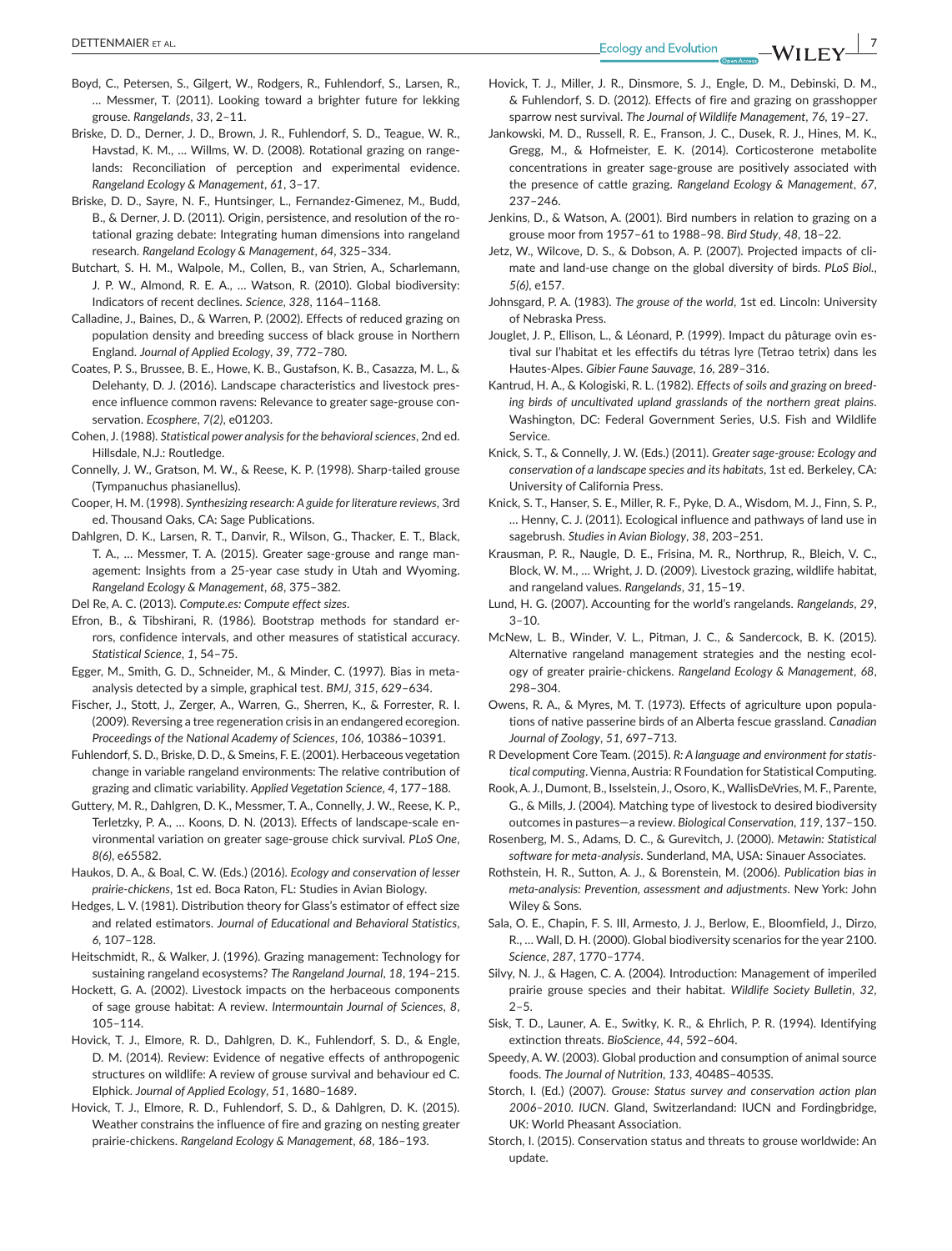**DETTENMAIER** ET AL. *PHONE* EXCITED AND THE SECTION  $\mathbf{F} \mathbf{Y} \rightarrow \mathbf{Y} \mathbf{H} \mathbf{F} \mathbf{Y}$ 

- Boyd, C., Petersen, S., Gilgert, W., Rodgers, R., Fuhlendorf, S., Larsen, R., … Messmer, T. (2011). Looking toward a brighter future for lekking grouse. *Rangelands*, *33*, 2–11.
- Briske, D. D., Derner, J. D., Brown, J. R., Fuhlendorf, S. D., Teague, W. R., Havstad, K. M., … Willms, W. D. (2008). Rotational grazing on rangelands: Reconciliation of perception and experimental evidence. *Rangeland Ecology & Management*, *61*, 3–17.
- Briske, D. D., Sayre, N. F., Huntsinger, L., Fernandez-Gimenez, M., Budd, B., & Derner, J. D. (2011). Origin, persistence, and resolution of the rotational grazing debate: Integrating human dimensions into rangeland research. *Rangeland Ecology & Management*, *64*, 325–334.
- Butchart, S. H. M., Walpole, M., Collen, B., van Strien, A., Scharlemann, J. P. W., Almond, R. E. A., … Watson, R. (2010). Global biodiversity: Indicators of recent declines. *Science*, *328*, 1164–1168.
- Calladine, J., Baines, D., & Warren, P. (2002). Effects of reduced grazing on population density and breeding success of black grouse in Northern England. *Journal of Applied Ecology*, *39*, 772–780.
- Coates, P. S., Brussee, B. E., Howe, K. B., Gustafson, K. B., Casazza, M. L., & Delehanty, D. J. (2016). Landscape characteristics and livestock presence influence common ravens: Relevance to greater sage-grouse conservation. *Ecosphere*, *7(2)*, e01203.
- Cohen, J. (1988). *Statistical power analysis for the behavioral sciences*, 2nd ed. Hillsdale, N.J.: Routledge.
- Connelly, J. W., Gratson, M. W., & Reese, K. P. (1998). Sharp-tailed grouse (Tympanuchus phasianellus).
- Cooper, H. M. (1998). *Synthesizing research: A guide for literature reviews*, 3rd ed. Thousand Oaks, CA: Sage Publications.
- Dahlgren, D. K., Larsen, R. T., Danvir, R., Wilson, G., Thacker, E. T., Black, T. A., … Messmer, T. A. (2015). Greater sage-grouse and range management: Insights from a 25-year case study in Utah and Wyoming. *Rangeland Ecology & Management*, *68*, 375–382.
- Del Re, A. C. (2013). *Compute.es: Compute effect sizes*.
- Efron, B., & Tibshirani, R. (1986). Bootstrap methods for standard errors, confidence intervals, and other measures of statistical accuracy. *Statistical Science*, *1*, 54–75.
- Egger, M., Smith, G. D., Schneider, M., & Minder, C. (1997). Bias in metaanalysis detected by a simple, graphical test. *BMJ*, *315*, 629–634.
- Fischer, J., Stott, J., Zerger, A., Warren, G., Sherren, K., & Forrester, R. I. (2009). Reversing a tree regeneration crisis in an endangered ecoregion. *Proceedings of the National Academy of Sciences*, *106*, 10386–10391.
- Fuhlendorf, S. D., Briske, D. D., & Smeins, F. E. (2001). Herbaceous vegetation change in variable rangeland environments: The relative contribution of grazing and climatic variability. *Applied Vegetation Science*, *4*, 177–188.
- Guttery, M. R., Dahlgren, D. K., Messmer, T. A., Connelly, J. W., Reese, K. P., Terletzky, P. A., … Koons, D. N. (2013). Effects of landscape-scale environmental variation on greater sage-grouse chick survival. *PLoS One*, *8(6)*, e65582.
- Haukos, D. A., & Boal, C. W. (Eds.) (2016). *Ecology and conservation of lesser prairie-chickens*, 1st ed. Boca Raton, FL: Studies in Avian Biology.
- Hedges, L. V. (1981). Distribution theory for Glass's estimator of effect size and related estimators. *Journal of Educational and Behavioral Statistics*, *6*, 107–128.
- Heitschmidt, R., & Walker, J. (1996). Grazing management: Technology for sustaining rangeland ecosystems? *The Rangeland Journal*, *18*, 194–215.
- Hockett, G. A. (2002). Livestock impacts on the herbaceous components of sage grouse habitat: A review. *Intermountain Journal of Sciences*, *8*, 105–114.
- Hovick, T. J., Elmore, R. D., Dahlgren, D. K., Fuhlendorf, S. D., & Engle, D. M. (2014). Review: Evidence of negative effects of anthropogenic structures on wildlife: A review of grouse survival and behaviour ed C. Elphick. *Journal of Applied Ecology*, *51*, 1680–1689.
- Hovick, T. J., Elmore, R. D., Fuhlendorf, S. D., & Dahlgren, D. K. (2015). Weather constrains the influence of fire and grazing on nesting greater prairie-chickens. *Rangeland Ecology & Management*, *68*, 186–193.
- Hovick, T. J., Miller, J. R., Dinsmore, S. J., Engle, D. M., Debinski, D. M., & Fuhlendorf, S. D. (2012). Effects of fire and grazing on grasshopper sparrow nest survival. *The Journal of Wildlife Management*, *76*, 19–27.
- Jankowski, M. D., Russell, R. E., Franson, J. C., Dusek, R. J., Hines, M. K., Gregg, M., & Hofmeister, E. K. (2014). Corticosterone metabolite concentrations in greater sage-grouse are positively associated with the presence of cattle grazing. *Rangeland Ecology & Management*, *67*, 237–246.
- Jenkins, D., & Watson, A. (2001). Bird numbers in relation to grazing on a grouse moor from 1957–61 to 1988–98. *Bird Study*, *48*, 18–22.
- Jetz, W., Wilcove, D. S., & Dobson, A. P. (2007). Projected impacts of climate and land-use change on the global diversity of birds. *PLoS Biol.*, *5(6)*, e157.
- Johnsgard, P. A. (1983). *The grouse of the world*, 1st ed. Lincoln: University of Nebraska Press.
- Jouglet, J. P., Ellison, L., & Léonard, P. (1999). Impact du pâturage ovin estival sur l'habitat et les effectifs du tétras lyre (Tetrao tetrix) dans les Hautes-Alpes. *Gibier Faune Sauvage*, *16*, 289–316.
- Kantrud, H. A., & Kologiski, R. L. (1982). *Effects of soils and grazing on breeding birds of uncultivated upland grasslands of the northern great plains*. Washington, DC: Federal Government Series, U.S. Fish and Wildlife Service.
- Knick, S. T., & Connelly, J. W. (Eds.) (2011). *Greater sage-grouse: Ecology and conservation of a landscape species and its habitats*, 1st ed. Berkeley, CA: University of California Press.
- Knick, S. T., Hanser, S. E., Miller, R. F., Pyke, D. A., Wisdom, M. J., Finn, S. P., … Henny, C. J. (2011). Ecological influence and pathways of land use in sagebrush. *Studies in Avian Biology*, *38*, 203–251.
- Krausman, P. R., Naugle, D. E., Frisina, M. R., Northrup, R., Bleich, V. C., Block, W. M., … Wright, J. D. (2009). Livestock grazing, wildlife habitat, and rangeland values. *Rangelands*, *31*, 15–19.
- Lund, H. G. (2007). Accounting for the world's rangelands. *Rangelands*, *29*, 3–10.
- McNew, L. B., Winder, V. L., Pitman, J. C., & Sandercock, B. K. (2015). Alternative rangeland management strategies and the nesting ecology of greater prairie-chickens. *Rangeland Ecology & Management*, *68*, 298–304.
- Owens, R. A., & Myres, M. T. (1973). Effects of agriculture upon populations of native passerine birds of an Alberta fescue grassland. *Canadian Journal of Zoology*, *51*, 697–713.
- R Development Core Team. (2015). *R: A language and environment for statistical computing*.Vienna,Austria: R Foundation for Statistical Computing.
- Rook, A. J., Dumont, B., Isselstein, J., Osoro, K., WallisDeVries, M. F., Parente, G., & Mills, J. (2004). Matching type of livestock to desired biodiversity outcomes in pastures—a review. *Biological Conservation*, *119*, 137–150.
- Rosenberg, M. S., Adams, D. C., & Gurevitch, J. (2000). *Metawin: Statistical software for meta-analysis*. Sunderland, MA, USA: Sinauer Associates.
- Rothstein, H. R., Sutton, A. J., & Borenstein, M. (2006). *Publication bias in meta-analysis: Prevention, assessment and adjustments*. New York: John Wiley & Sons.
- Sala, O. E., Chapin, F. S. III, Armesto, J. J., Berlow, E., Bloomfield, J., Dirzo, R., … Wall, D. H. (2000). Global biodiversity scenarios for the year 2100. *Science*, *287*, 1770–1774.
- Silvy, N. J., & Hagen, C. A. (2004). Introduction: Management of imperiled prairie grouse species and their habitat. *Wildlife Society Bulletin*, *32*,  $2 - 5$
- Sisk, T. D., Launer, A. E., Switky, K. R., & Ehrlich, P. R. (1994). Identifying extinction threats. *BioScience*, *44*, 592–604.
- Speedy, A. W. (2003). Global production and consumption of animal source foods. *The Journal of Nutrition*, *133*, 4048S–4053S.
- Storch, I. (Ed.) (2007). *Grouse: Status survey and conservation action plan 2006–2010. IUCN*. Gland, Switzerlandand: IUCN and Fordingbridge, UK: World Pheasant Association.
- Storch, I. (2015). Conservation status and threats to grouse worldwide: An update.